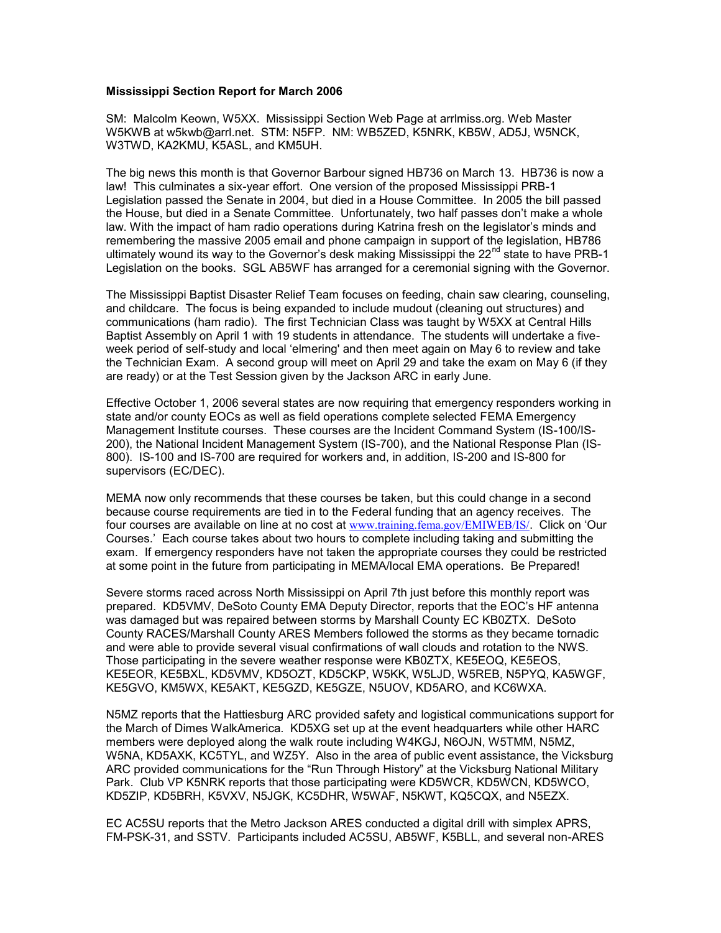## **Mississippi Section Report for March 2006**

SM: Malcolm Keown, W5XX. Mississippi Section Web Page at arrlmiss.org. Web Master W5KWB at w5kwb@arrl.net. STM: N5FP. NM: WB5ZED, K5NRK, KB5W, AD5J, W5NCK, W3TWD, KA2KMU, K5ASL, and KM5UH.

The big news this month is that Governor Barbour signed HB736 on March 13. HB736 is now a law! This culminates a six-year effort. One version of the proposed Mississippi PRB-1 Legislation passed the Senate in 2004, but died in a House Committee. In 2005 the bill passed the House, but died in a Senate Committee. Unfortunately, two half passes don't make a whole law. With the impact of ham radio operations during Katrina fresh on the legislator's minds and remembering the massive 2005 email and phone campaign in support of the legislation, HB786 ultimately wound its way to the Governor's desk making Mississippi the  $22<sup>nd</sup>$  state to have PRB-1 Legislation on the books. SGL AB5WF has arranged for a ceremonial signing with the Governor.

The Mississippi Baptist Disaster Relief Team focuses on feeding, chain saw clearing, counseling, and childcare. The focus is being expanded to include mudout (cleaning out structures) and communications (ham radio). The first Technician Class was taught by W5XX at Central Hills Baptist Assembly on April 1 with 19 students in attendance. The students will undertake a fiveweek period of self-study and local 'elmering' and then meet again on May 6 to review and take the Technician Exam. A second group will meet on April 29 and take the exam on May 6 (if they are ready) or at the Test Session given by the Jackson ARC in early June.

Effective October 1, 2006 several states are now requiring that emergency responders working in state and/or county EOCs as well as field operations complete selected FEMA Emergency Management Institute courses. These courses are the Incident Command System (IS-100/IS-200), the National Incident Management System (IS-700), and the National Response Plan (IS-800). IS-100 and IS-700 are required for workers and, in addition, IS-200 and IS-800 for supervisors (EC/DEC).

MEMA now only recommends that these courses be taken, but this could change in a second because course requirements are tied in to the Federal funding that an agency receives. The four courses are available on line at no cost at [www.training.fema.gov/EMIWEB/IS/](http://www.training.fema.gov/EMIWEB/IS/). Click on 'Our Courses.' Each course takes about two hours to complete including taking and submitting the exam. If emergency responders have not taken the appropriate courses they could be restricted at some point in the future from participating in MEMA/local EMA operations. Be Prepared!

Severe storms raced across North Mississippi on April 7th just before this monthly report was prepared. KD5VMV, DeSoto County EMA Deputy Director, reports that the EOC's HF antenna was damaged but was repaired between storms by Marshall County EC KB0ZTX. DeSoto County RACES/Marshall County ARES Members followed the storms as they became tornadic and were able to provide several visual confirmations of wall clouds and rotation to the NWS. Those participating in the severe weather response were KB0ZTX, KE5EOQ, KE5EOS, KE5EOR, KE5BXL, KD5VMV, KD5OZT, KD5CKP, W5KK, W5LJD, W5REB, N5PYQ, KA5WGF, KE5GVO, KM5WX, KE5AKT, KE5GZD, KE5GZE, N5UOV, KD5ARO, and KC6WXA.

N5MZ reports that the Hattiesburg ARC provided safety and logistical communications support for the March of Dimes WalkAmerica. KD5XG set up at the event headquarters while other HARC members were deployed along the walk route including W4KGJ, N6OJN, W5TMM, N5MZ, W5NA, KD5AXK, KC5TYL, and WZ5Y. Also in the area of public event assistance, the Vicksburg ARC provided communications for the "Run Through History" at the Vicksburg National Military Park. Club VP K5NRK reports that those participating were KD5WCR, KD5WCN, KD5WCO, KD5ZIP, KD5BRH, K5VXV, N5JGK, KC5DHR, W5WAF, N5KWT, KQ5CQX, and N5EZX.

EC AC5SU reports that the Metro Jackson ARES conducted a digital drill with simplex APRS, FM-PSK-31, and SSTV. Participants included AC5SU, AB5WF, K5BLL, and several non-ARES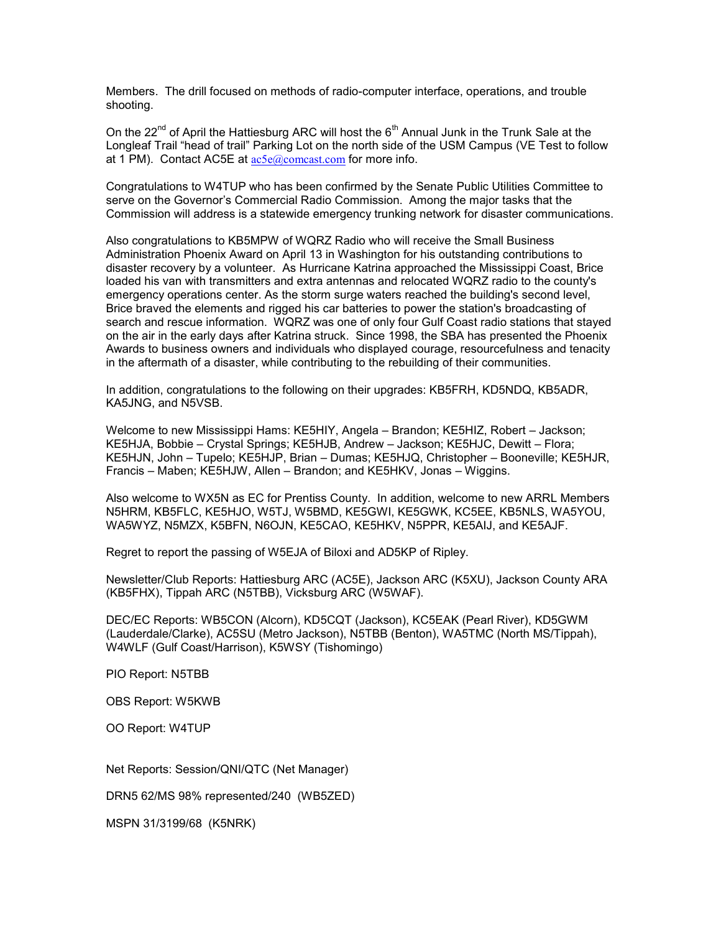Members. The drill focused on methods of radio-computer interface, operations, and trouble shooting.

On the 22<sup>nd</sup> of April the Hattiesburg ARC will host the 6<sup>th</sup> Annual Junk in the Trunk Sale at the Longleaf Trail "head of trail" Parking Lot on the north side of the USM Campus (VE Test to follow at 1 PM). Contact AC5E at  $ac5e@$ comcast.com for more info.

Congratulations to W4TUP who has been confirmed by the Senate Public Utilities Committee to serve on the Governor's Commercial Radio Commission. Among the major tasks that the Commission will address is a statewide emergency trunking network for disaster communications.

Also congratulations to KB5MPW of WQRZ Radio who will receive the Small Business Administration Phoenix Award on April 13 in Washington for his outstanding contributions to disaster recovery by a volunteer. As Hurricane Katrina approached the Mississippi Coast, Brice loaded his van with transmitters and extra antennas and relocated WQRZ radio to the county's emergency operations center. As the storm surge waters reached the building's second level, Brice braved the elements and rigged his car batteries to power the station's broadcasting of search and rescue information. WQRZ was one of only four Gulf Coast radio stations that stayed on the air in the early days after Katrina struck. Since 1998, the SBA has presented the Phoenix Awards to business owners and individuals who displayed courage, resourcefulness and tenacity in the aftermath of a disaster, while contributing to the rebuilding of their communities.

In addition, congratulations to the following on their upgrades: KB5FRH, KD5NDQ, KB5ADR, KA5JNG, and N5VSB.

Welcome to new Mississippi Hams: KE5HIY, Angela – Brandon; KE5HIZ, Robert – Jackson; KE5HJA, Bobbie – Crystal Springs; KE5HJB, Andrew – Jackson; KE5HJC, Dewitt – Flora; KE5HJN, John – Tupelo; KE5HJP, Brian – Dumas; KE5HJQ, Christopher – Booneville; KE5HJR, Francis – Maben; KE5HJW, Allen – Brandon; and KE5HKV, Jonas – Wiggins.

Also welcome to WX5N as EC for Prentiss County. In addition, welcome to new ARRL Members N5HRM, KB5FLC, KE5HJO, W5TJ, W5BMD, KE5GWI, KE5GWK, KC5EE, KB5NLS, WA5YOU, WA5WYZ, N5MZX, K5BFN, N6OJN, KE5CAO, KE5HKV, N5PPR, KE5AIJ, and KE5AJF.

Regret to report the passing of W5EJA of Biloxi and AD5KP of Ripley.

Newsletter/Club Reports: Hattiesburg ARC (AC5E), Jackson ARC (K5XU), Jackson County ARA (KB5FHX), Tippah ARC (N5TBB), Vicksburg ARC (W5WAF).

DEC/EC Reports: WB5CON (Alcorn), KD5CQT (Jackson), KC5EAK (Pearl River), KD5GWM (Lauderdale/Clarke), AC5SU (Metro Jackson), N5TBB (Benton), WA5TMC (North MS/Tippah), W4WLF (Gulf Coast/Harrison), K5WSY (Tishomingo)

PIO Report: N5TBB

OBS Report: W5KWB

OO Report: W4TUP

Net Reports: Session/QNI/QTC (Net Manager)

DRN5 62/MS 98% represented/240 (WB5ZED)

MSPN 31/3199/68 (K5NRK)